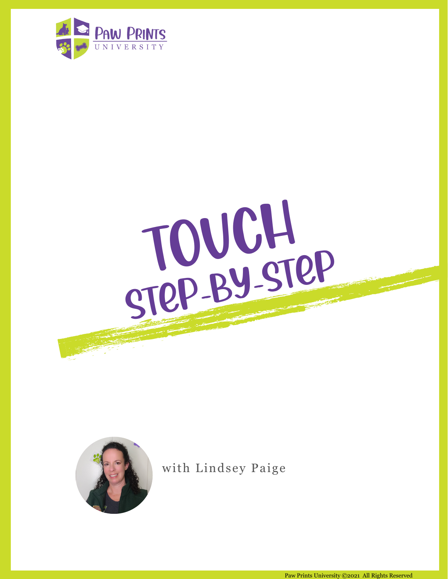





with Lindsey Paige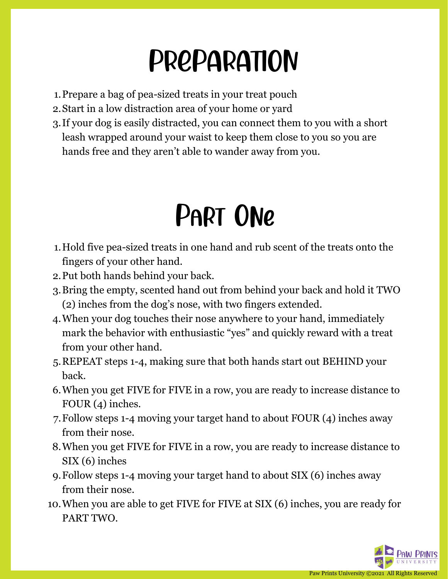# PREPARATION

- 1. Prepare a bag of pea-sized treats in your treat pouch
- Start in a low distraction area of your home or yard 2.
- If your dog is easily distracted, you can connect them to you with a short 3. leash wrapped around your waist to keep them close to you so you are hands free and they aren't able to wander away from you.

### Part One

- Hold five pea-sized treats in one hand and rub scent of the treats onto the 1. fingers of your other hand.
- Put both hands behind your back. 2.
- 3. Bring the empty, scented hand out from behind your back and hold it TWO (2) inches from the dog's nose, with two fingers extended.
- When your dog touches their nose anywhere to your hand, immediately 4. mark the behavior with enthusiastic "yes" and quickly reward with a treat from your other hand.
- REPEAT steps 1-4, making sure that both hands start out BEHIND your 5. back.
- When you get FIVE for FIVE in a row, you are ready to increase distance to 6. FOUR (4) inches.
- Follow steps 1-4 moving your target hand to about FOUR (4) inches away 7. from their nose.
- When you get FIVE for FIVE in a row, you are ready to increase distance to 8. SIX (6) inches
- Follow steps 1-4 moving your target hand to about SIX (6) inches away 9. from their nose.
- When you are able to get FIVE for FIVE at SIX (6) inches, you are ready for 10.PART TWO.

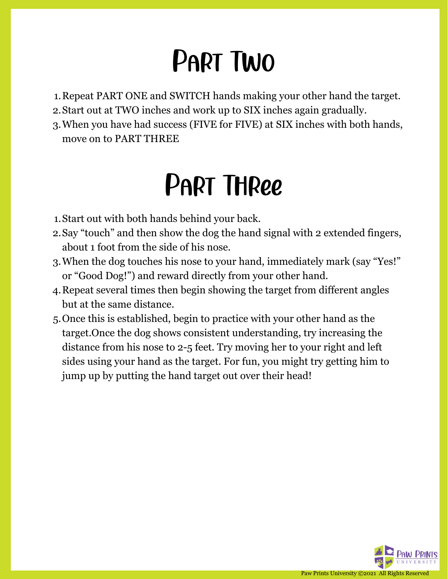# Part Two

- 1. Repeat PART ONE and SWITCH hands making your other hand the target.
- Start out at TWO inches and work up to SIX inches again gradually. 2.
- When you have had success (FIVE for FIVE) at SIX inches with both hands, 3. move on to PART THREE

# Part Three

- Start out with both hands behind your back. 1.
- Say "touch" and then show the dog the hand signal with 2 extended fingers, 2. about 1 foot from the side of his nose.
- When the dog touches his nose to your hand, immediately mark (say "Yes!" 3. or "Good Dog!") and reward directly from your other hand.
- Repeat several times then begin showing the target from different angles 4. but at the same distance.
- Once this is established, begin to practice with your other hand as the 5.target.Once the dog shows consistent understanding, try increasing the distance from his nose to 2-5 feet. Try moving her to your right and left sides using your hand as the target. For fun, you might try getting him to jump up by putting the hand target out over their head!